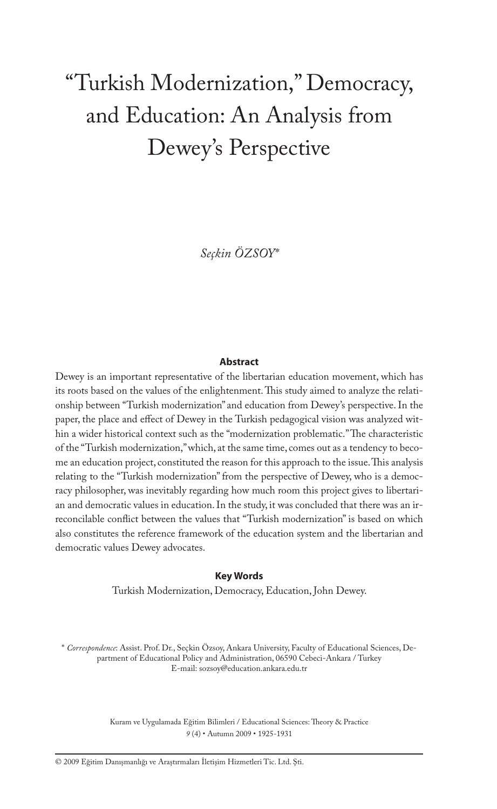# "Turkish Modernization," Democracy, and Education: An Analysis from Dewey's Perspective

*Seçkin ÖZSOY\**

#### **Abstract**

Dewey is an important representative of the libertarian education movement, which has its roots based on the values of the enlightenment. This study aimed to analyze the relationship between "Turkish modernization" and education from Dewey's perspective. In the paper, the place and effect of Dewey in the Turkish pedagogical vision was analyzed within a wider historical context such as the "modernization problematic." The characteristic of the "Turkish modernization," which, at the same time, comes out as a tendency to become an education project, constituted the reason for this approach to the issue. This analysis relating to the "Turkish modernization" from the perspective of Dewey, who is a democracy philosopher, was inevitably regarding how much room this project gives to libertarian and democratic values in education. In the study, it was concluded that there was an irreconcilable conflict between the values that "Turkish modernization" is based on which also constitutes the reference framework of the education system and the libertarian and democratic values Dewey advocates.

#### **Key Words**

Turkish Modernization, Democracy, Education, John Dewey.

\* *Correspondence*: Assist. Prof. Dr., Seçkin Özsoy, Ankara University, Faculty of Educational Sciences, Department of Educational Policy and Administration, 06590 Cebeci-Ankara / Turkey E-mail: sozsoy@education.ankara.edu.tr

> Kuram ve Uygulamada Eğitim Bilimleri / Educational Sciences: Theory & Practice *9* (4) • Autumn 2009 • 1925-1931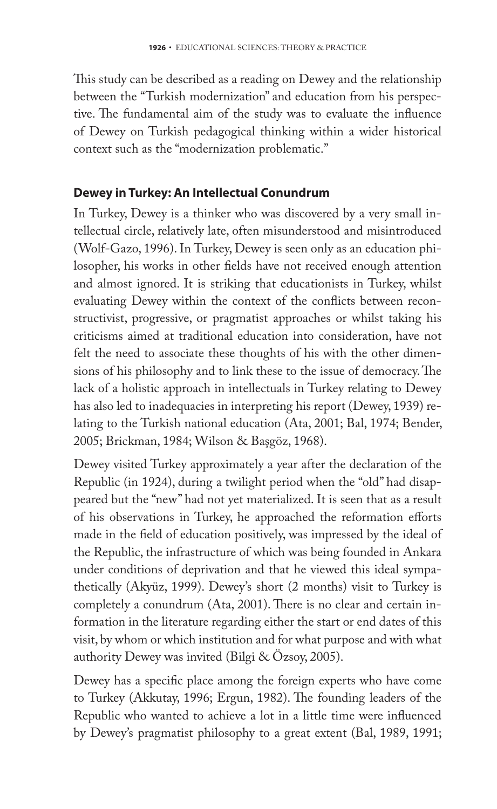This study can be described as a reading on Dewey and the relationship between the "Turkish modernization" and education from his perspective. The fundamental aim of the study was to evaluate the influence of Dewey on Turkish pedagogical thinking within a wider historical context such as the "modernization problematic."

## **Dewey in Turkey: An Intellectual Conundrum**

In Turkey, Dewey is a thinker who was discovered by a very small intellectual circle, relatively late, often misunderstood and misintroduced (Wolf-Gazo, 1996). In Turkey, Dewey is seen only as an education philosopher, his works in other fields have not received enough attention and almost ignored. It is striking that educationists in Turkey, whilst evaluating Dewey within the context of the conflicts between reconstructivist, progressive, or pragmatist approaches or whilst taking his criticisms aimed at traditional education into consideration, have not felt the need to associate these thoughts of his with the other dimensions of his philosophy and to link these to the issue of democracy. The lack of a holistic approach in intellectuals in Turkey relating to Dewey has also led to inadequacies in interpreting his report (Dewey, 1939) relating to the Turkish national education (Ata, 2001; Bal, 1974; Bender, 2005; Brickman, 1984; Wilson & Başgöz, 1968).

Dewey visited Turkey approximately a year after the declaration of the Republic (in 1924), during a twilight period when the "old" had disappeared but the "new" had not yet materialized. It is seen that as a result of his observations in Turkey, he approached the reformation efforts made in the field of education positively, was impressed by the ideal of the Republic, the infrastructure of which was being founded in Ankara under conditions of deprivation and that he viewed this ideal sympathetically (Akyüz, 1999). Dewey's short (2 months) visit to Turkey is completely a conundrum (Ata, 2001). There is no clear and certain information in the literature regarding either the start or end dates of this visit, by whom or which institution and for what purpose and with what authority Dewey was invited (Bilgi & Özsoy, 2005).

Dewey has a specific place among the foreign experts who have come to Turkey (Akkutay, 1996; Ergun, 1982). The founding leaders of the Republic who wanted to achieve a lot in a little time were influenced by Dewey's pragmatist philosophy to a great extent (Bal, 1989, 1991;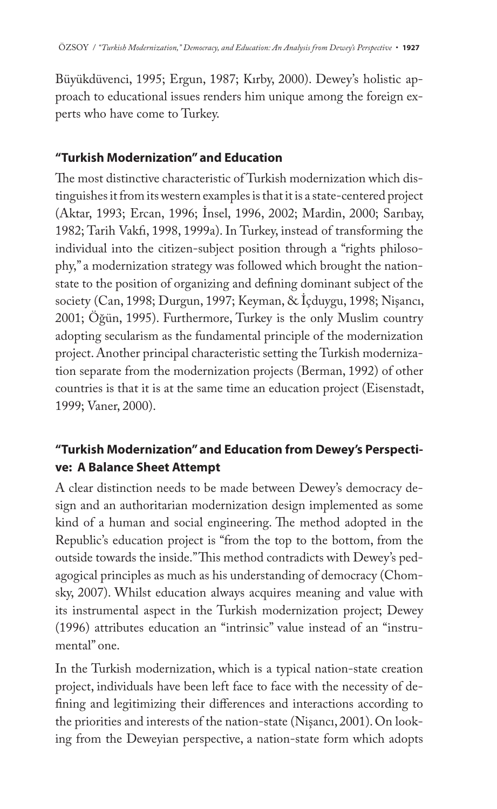Büyükdüvenci, 1995; Ergun, 1987; Kırby, 2000). Dewey's holistic approach to educational issues renders him unique among the foreign experts who have come to Turkey.

### **"Turkish Modernization" and Education**

The most distinctive characteristic of Turkish modernization which distinguishes it from its western examples is that it is a state-centered project (Aktar, 1993; Ercan, 1996; İnsel, 1996, 2002; Mardin, 2000; Sarıbay, 1982; Tarih Vakfı, 1998, 1999a). In Turkey, instead of transforming the individual into the citizen-subject position through a "rights philosophy," a modernization strategy was followed which brought the nationstate to the position of organizing and defining dominant subject of the society (Can, 1998; Durgun, 1997; Keyman, & İçduygu, 1998; Nişancı, 2001; Öğün, 1995). Furthermore, Turkey is the only Muslim country adopting secularism as the fundamental principle of the modernization project. Another principal characteristic setting the Turkish modernization separate from the modernization projects (Berman, 1992) of other countries is that it is at the same time an education project (Eisenstadt, 1999; Vaner, 2000).

## **"Turkish Modernization" and Education from Dewey's Perspective: A Balance Sheet Attempt**

A clear distinction needs to be made between Dewey's democracy design and an authoritarian modernization design implemented as some kind of a human and social engineering. The method adopted in the Republic's education project is "from the top to the bottom, from the outside towards the inside." This method contradicts with Dewey's pedagogical principles as much as his understanding of democracy (Chomsky, 2007). Whilst education always acquires meaning and value with its instrumental aspect in the Turkish modernization project; Dewey (1996) attributes education an "intrinsic" value instead of an "instrumental" one.

In the Turkish modernization, which is a typical nation-state creation project, individuals have been left face to face with the necessity of defining and legitimizing their differences and interactions according to the priorities and interests of the nation-state (Nişancı, 2001). On looking from the Deweyian perspective, a nation-state form which adopts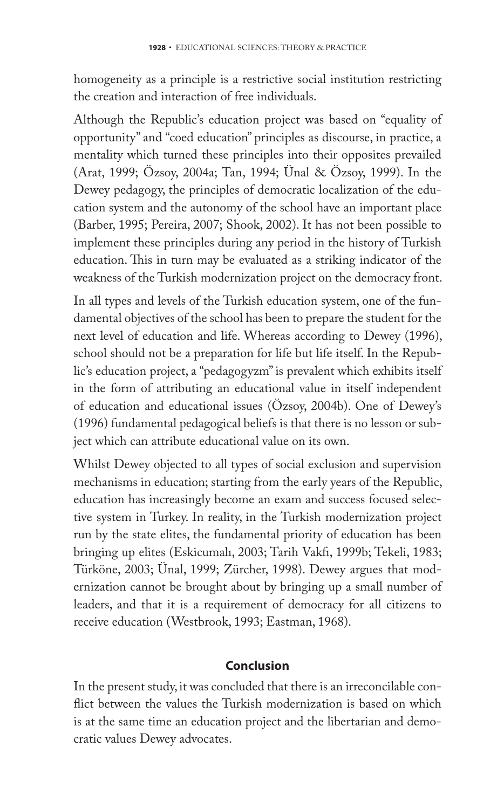homogeneity as a principle is a restrictive social institution restricting the creation and interaction of free individuals.

Although the Republic's education project was based on "equality of opportunity" and "coed education" principles as discourse, in practice, a mentality which turned these principles into their opposites prevailed (Arat, 1999; Özsoy, 2004a; Tan, 1994; Ünal & Özsoy, 1999). In the Dewey pedagogy, the principles of democratic localization of the education system and the autonomy of the school have an important place (Barber, 1995; Pereira, 2007; Shook, 2002). It has not been possible to implement these principles during any period in the history of Turkish education. This in turn may be evaluated as a striking indicator of the weakness of the Turkish modernization project on the democracy front.

In all types and levels of the Turkish education system, one of the fundamental objectives of the school has been to prepare the student for the next level of education and life. Whereas according to Dewey (1996), school should not be a preparation for life but life itself. In the Republic's education project, a "pedagogyzm" is prevalent which exhibits itself in the form of attributing an educational value in itself independent of education and educational issues (Özsoy, 2004b). One of Dewey's (1996) fundamental pedagogical beliefs is that there is no lesson or subject which can attribute educational value on its own.

Whilst Dewey objected to all types of social exclusion and supervision mechanisms in education; starting from the early years of the Republic, education has increasingly become an exam and success focused selective system in Turkey. In reality, in the Turkish modernization project run by the state elites, the fundamental priority of education has been bringing up elites (Eskicumalı, 2003; Tarih Vakfı, 1999b; Tekeli, 1983; Türköne, 2003; Ünal, 1999; Zürcher, 1998). Dewey argues that modernization cannot be brought about by bringing up a small number of leaders, and that it is a requirement of democracy for all citizens to receive education (Westbrook, 1993; Eastman, 1968).

### **Conclusion**

In the present study, it was concluded that there is an irreconcilable conflict between the values the Turkish modernization is based on which is at the same time an education project and the libertarian and democratic values Dewey advocates.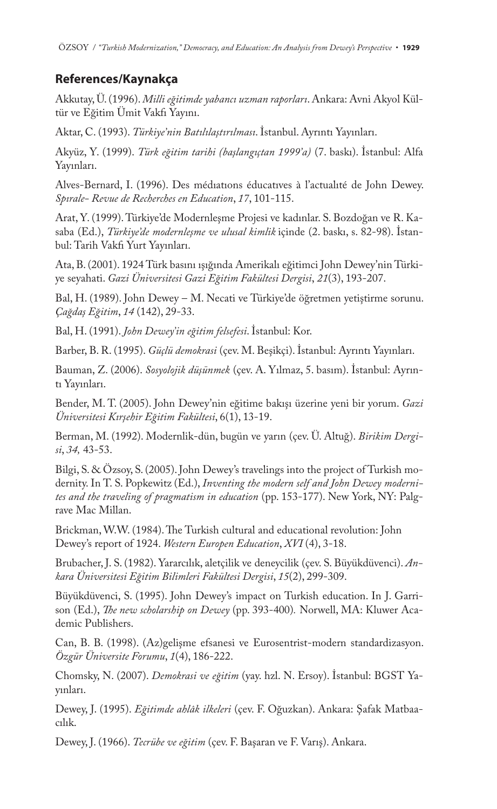#### **References/Kaynakça**

Akkutay, Ü. (1996). *Milli eğitimde yabancı uzman raporları*. Ankara: Avni Akyol Kültür ve Eğitim Ümit Vakfı Yayını.

Aktar, C. (1993). *Türkiye'nin Batılılaştırılması*. İstanbul. Ayrıntı Yayınları.

Akyüz, Y. (1999). *Türk eğitim tarihi (başlangıçtan 1999'a)* (7. baskı). İstanbul: Alfa Yayınları.

Alves-Bernard, I. (1996). Des médıatıons éducatıves à l'actualıté de John Dewey. *Spırale- Revue de Recherches en Education*, *17*, 101-115.

Arat, Y. (1999). Türkiye'de Modernleşme Projesi ve kadınlar. S. Bozdoğan ve R. Kasaba (Ed.), *Türkiye'de modernleşme ve ulusal kimlik* içinde (2. baskı, s. 82-98). İstanbul: Tarih Vakfı Yurt Yayınları.

Ata, B. (2001). 1924 Türk basını ışığında Amerikalı eğitimci John Dewey'nin Türkiye seyahati. *Gazi Üniversitesi Gazi Eğitim Fakültesi Dergisi*, *21*(3), 193-207.

Bal, H. (1989). John Dewey – M. Necati ve Türkiye'de öğretmen yetiştirme sorunu. *Çağdaş Eğitim*, *14* (142), 29-33.

Bal, H. (1991). *John Dewey'in eğitim felsefesi*. İstanbul: Kor.

Barber, B. R. (1995). *Güçlü demokrasi* (çev. M. Beşikçi). İstanbul: Ayrıntı Yayınları.

Bauman, Z. (2006). *Sosyolojik düşünmek* (çev. A. Yılmaz, 5. basım). İstanbul: Ayrıntı Yayınları.

Bender, M. T. (2005). John Dewey'nin eğitime bakışı üzerine yeni bir yorum. *Gazi Üniversitesi Kırşehir Eğitim Fakültesi*, 6(1), 13-19.

Berman, M. (1992). Modernlik-dün, bugün ve yarın (çev. Ü. Altuğ). *Birikim Dergisi*, *34,* 43-53.

Bilgi, S. & Özsoy, S. (2005). John Dewey's travelings into the project of Turkish modernity. In T. S. Popkewitz (Ed.), *Inventing the modern self and John Dewey modernites and the traveling of pragmatism in education* (pp. 153-177). New York, NY: Palgrave Mac Millan.

Brickman, W.W. (1984). The Turkish cultural and educational revolution: John Dewey's report of 1924. *Western Europen Education*, *XVI* (4), 3-18.

Brubacher, J. S. (1982). Yararcılık, aletçilik ve deneycilik (çev. S. Büyükdüvenci). *Ankara Üniversitesi Eğitim Bilimleri Fakültesi Dergisi*, *15*(2), 299-309.

Büyükdüvenci, S. (1995). John Dewey's impact on Turkish education. In J. Garrison (Ed.), *The new scholarship on Dewey* (pp. 393-400). Norwell, MA: Kluwer Academic Publishers.

Can, B. B. (1998). (Az)gelişme efsanesi ve Eurosentrist-modern standardizasyon. *Özgür Üniversite Forumu*, *1*(4), 186-222.

Chomsky, N. (2007). *Demokrasi ve eğitim* (yay. hzl. N. Ersoy). İstanbul: BGST Yayınları.

Dewey, J. (1995). *Eğitimde ahlâk ilkeleri* (çev. F. Oğuzkan). Ankara: Şafak Matbaacılık.

Dewey, J. (1966). *Tecrübe ve eğitim* (çev. F. Başaran ve F. Varış). Ankara.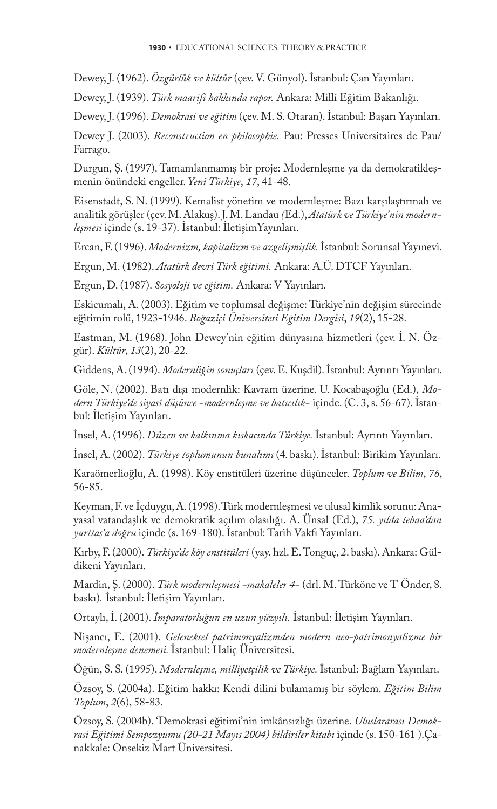Dewey, J. (1962). *Özgürlük ve kültür* (çev. V. Günyol). İstanbul: Çan Yayınları.

Dewey, J. (1939). *Türk maarifi hakkında rapor.* Ankara: Millî Eğitim Bakanlığı.

Dewey, J. (1996). *Demokrasi ve eğitim* (çev. M. S. Otaran). İstanbul: Başarı Yayınları.

Dewey J. (2003). *Reconstruction en philosophie.* Pau: Presses Universitaires de Pau/ Farrago.

Durgun, Ş. (1997). Tamamlanmamış bir proje: Modernleşme ya da demokratikleşmenin önündeki engeller. *Yeni Türkiye*, *17*, 41-48.

Eisenstadt, S. N. (1999). Kemalist yönetim ve modernleşme: Bazı karşılaştırmalı ve analitik görüşler (çev. M. Alakuş). J. M. Landau *(*Ed.), *Atatürk ve Türkiye'nin modernleşmesi* içinde (s. 19-37). İstanbul: İletişimYayınları.

Ercan, F. (1996). *Modernizm, kapitalizm ve azgelişmişlik.*İstanbul: Sorunsal Yayınevi.

Ergun, M. (1982). *Atatürk devri Türk eğitimi.* Ankara: A.Ü. DTCF Yayınları.

Ergun, D. (1987). *Sosyoloji ve eğitim.* Ankara: V Yayınları.

Eskicumalı, A. (2003). Eğitim ve toplumsal değişme: Türkiye'nin değişim sürecinde eğitimin rolü, 1923-1946. *Boğaziçi Üniversitesi Eğitim Dergisi*, *19*(2), 15-28.

Eastman, M. (1968). John Dewey'nin eğitim dünyasına hizmetleri (çev. İ. N. Özgür). *Kültür*, *13*(2), 20-22.

Giddens, A. (1994). *Modernliğin sonuçları* (çev. E. Kuşdil). İstanbul: Ayrıntı Yayınları.

Göle, N. (2002). Batı dışı modernlik: Kavram üzerine. U. Kocabaşoğlu (Ed.), *Modern Türkiye'de siyasî düşünce -modernleşme ve batıcılık-* içinde. (C. 3, s. 56-67). İstanbul: İletişim Yayınları.

İnsel, A. (1996). *Düzen ve kalkınma kıskacında Türkiye.* İstanbul: Ayrıntı Yayınları.

İnsel, A. (2002). *Türkiye toplumunun bunalımı* (4. baskı). İstanbul: Birikim Yayınları.

Karaömerlioğlu, A. (1998). Köy enstitüleri üzerine düşünceler. *Toplum ve Bilim*, *76*, 56-85.

Keyman, F. ve İçduygu, A. (1998). Türk modernleşmesi ve ulusal kimlik sorunu: Anayasal vatandaşlık ve demokratik açılım olasılığı. A. Ünsal (Ed.), *75. yılda tebaa'dan yurttaş'a doğru* içinde (s. 169-180). İstanbul: Tarih Vakfı Yayınları.

Kırby, F. (2000). *Türkiye'de köy enstitüleri* (yay. hzl. E. Tonguç, 2. baskı). Ankara: Güldikeni Yayınları.

Mardin, Ş. (2000). *Türk modernleşmesi -makaleler 4-* (drl. M. Türköne ve T Önder, 8. baskı)*.* İstanbul: İletişim Yayınları.

Ortaylı, İ. (2001). *İmparatorluğun en uzun yüzyılı.* İstanbul: İletişim Yayınları.

Nişancı, E. (2001). *Geleneksel patrimonyalizmden modern neo-patrimonyalizme bir modernleşme denemesi.* İstanbul: Haliç Üniversitesi.

Öğün, S. S. (1995). *Modernleşme, milliyetçilik ve Türkiye.* İstanbul: Bağlam Yayınları.

Özsoy, S. (2004a). Eğitim hakkı: Kendi dilini bulamamış bir söylem. *Eğitim Bilim Toplum*, *2*(6), 58-83.

Özsoy, S. (2004b). 'Demokrasi eğitimi'nin imkânsızlığı üzerine. *Uluslararası Demokrasi Eğitimi Sempozyumu (20-21 Mayıs 2004) bildiriler kitabı* içinde (s. 150-161 ).Çanakkale: Onsekiz Mart Üniversitesi.